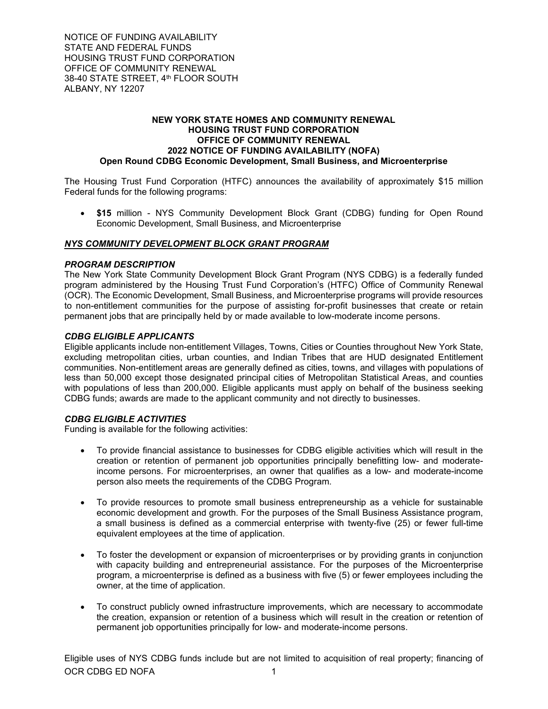NOTICE OF FUNDING AVAILABILITY STATE AND FEDERAL FUNDS HOUSING TRUST FUND CORPORATION OFFICE OF COMMUNITY RENEWAL 38-40 STATE STREET, 4th FLOOR SOUTH ALBANY, NY 12207

#### **NEW YORK STATE HOMES AND COMMUNITY RENEWAL HOUSING TRUST FUND CORPORATION OFFICE OF COMMUNITY RENEWAL 2022 NOTICE OF FUNDING AVAILABILITY (NOFA) Open Round CDBG Economic Development, Small Business, and Microenterprise**

The Housing Trust Fund Corporation (HTFC) announces the availability of approximately \$15 million Federal funds for the following programs:

• **\$15** million - NYS Community Development Block Grant (CDBG) funding for Open Round Economic Development, Small Business, and Microenterprise

# *NYS COMMUNITY DEVELOPMENT BLOCK GRANT PROGRAM*

#### *PROGRAM DESCRIPTION*

The New York State Community Development Block Grant Program (NYS CDBG) is a federally funded program administered by the Housing Trust Fund Corporation's (HTFC) Office of Community Renewal (OCR). The Economic Development, Small Business, and Microenterprise programs will provide resources to non-entitlement communities for the purpose of assisting for-profit businesses that create or retain permanent jobs that are principally held by or made available to low-moderate income persons.

### *CDBG ELIGIBLE APPLICANTS*

Eligible applicants include non-entitlement Villages, Towns, Cities or Counties throughout New York State, excluding metropolitan cities, urban counties, and Indian Tribes that are HUD designated Entitlement communities. Non-entitlement areas are generally defined as cities, towns, and villages with populations of less than 50,000 except those designated principal cities of Metropolitan Statistical Areas, and counties with populations of less than 200,000. Eligible applicants must apply on behalf of the business seeking CDBG funds; awards are made to the applicant community and not directly to businesses.

#### *CDBG ELIGIBLE ACTIVITIES*

Funding is available for the following activities:

- To provide financial assistance to businesses for CDBG eligible activities which will result in the creation or retention of permanent job opportunities principally benefitting low- and moderateincome persons. For microenterprises, an owner that qualifies as a low- and moderate-income person also meets the requirements of the CDBG Program.
- To provide resources to promote small business entrepreneurship as a vehicle for sustainable economic development and growth. For the purposes of the Small Business Assistance program, a small business is defined as a commercial enterprise with twenty-five (25) or fewer full-time equivalent employees at the time of application.
- To foster the development or expansion of microenterprises or by providing grants in conjunction with capacity building and entrepreneurial assistance. For the purposes of the Microenterprise program, a microenterprise is defined as a business with five (5) or fewer employees including the owner, at the time of application.
- To construct publicly owned infrastructure improvements, which are necessary to accommodate the creation, expansion or retention of a business which will result in the creation or retention of permanent job opportunities principally for low- and moderate-income persons.

OCR CDBG ED NOFA 1 Eligible uses of NYS CDBG funds include but are not limited to acquisition of real property; financing of